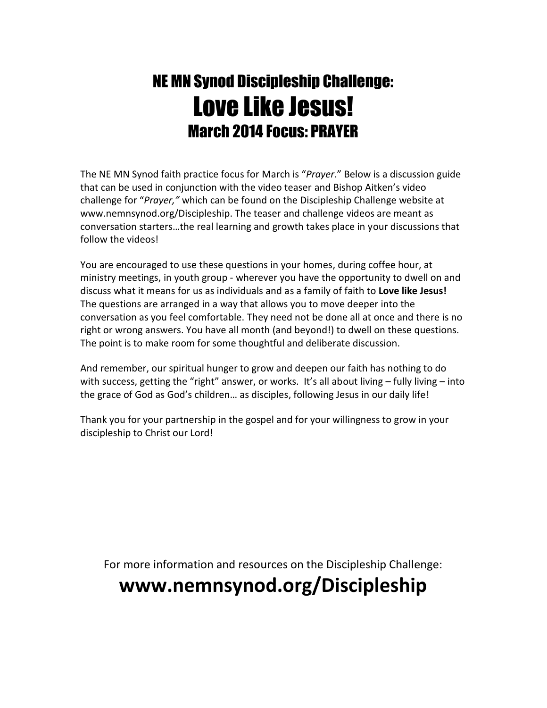# NE MN Synod Discipleship Challenge: Love Like Jesus! March 2014 Focus: PRAYER

The NE MN Synod faith practice focus for March is "*Prayer*." Below is a discussion guide that can be used in conjunction with the video teaser and Bishop Aitken's video challenge for "*Prayer,"* which can be found on the Discipleship Challenge website at www.nemnsynod.org/Discipleship. The teaser and challenge videos are meant as conversation starters…the real learning and growth takes place in your discussions that follow the videos!

You are encouraged to use these questions in your homes, during coffee hour, at ministry meetings, in youth group - wherever you have the opportunity to dwell on and discuss what it means for us as individuals and as a family of faith to **Love like Jesus!** The questions are arranged in a way that allows you to move deeper into the conversation as you feel comfortable. They need not be done all at once and there is no right or wrong answers. You have all month (and beyond!) to dwell on these questions. The point is to make room for some thoughtful and deliberate discussion.

And remember, our spiritual hunger to grow and deepen our faith has nothing to do with success, getting the "right" answer, or works. It's all about living - fully living - into the grace of God as God's children… as disciples, following Jesus in our daily life!

Thank you for your partnership in the gospel and for your willingness to grow in your discipleship to Christ our Lord!

For more information and resources on the Discipleship Challenge:

## **www.nemnsynod.org/Discipleship**